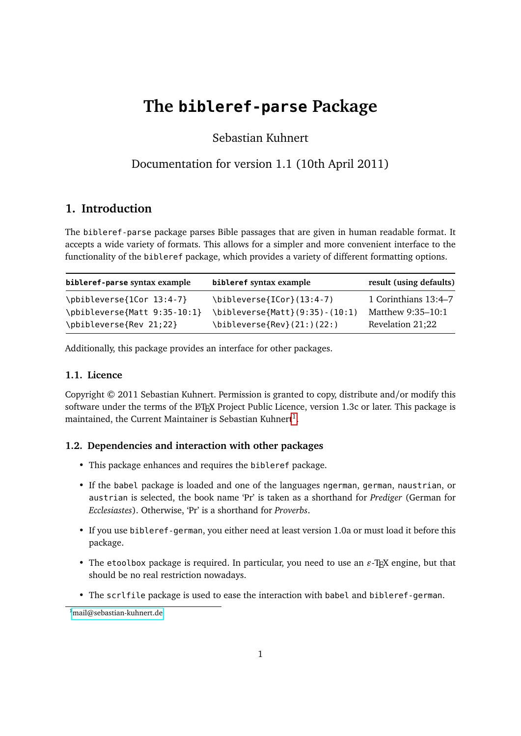# **The bibleref-parse Package**

Sebastian Kuhnert

# Documentation for version 1.1 (10th April 2011)

# **1. Introduction**

The bibleref-parse package parses Bible passages that are given in human readable format. It accepts a wide variety of formats. This allows for a simpler and more convenient interface to the functionality of the bibleref package, which provides a variety of different formatting options.

| bibleref-parse syntax example | bibleref syntax example                                  | result (using defaults) |
|-------------------------------|----------------------------------------------------------|-------------------------|
| \pbibleverse{1Cor 13:4-7}     | \bibleverse{ICor}(13:4-7)                                | 1 Corinthians 13:4-7    |
| \pbibleverse{Matt 9:35-10:1}  | \bibleverse{Matt}(9:35)-(10:1)                           | Matthew 9:35-10:1       |
| \pbibleverse{Rev 21;22}       | $\big\{\begin{bmatrix} 21: \\ 22: \end{bmatrix}\right\}$ | Revelation 21;22        |

Additionally, this package provides an interface for other packages.

# **1.1. Licence**

Copyright © 2011 Sebastian Kuhnert. Permission is granted to copy, distribute and/or modify this software under the terms of the LATEX Project Public Licence, version 1.3c or later. This package is maintained, the Current Maintainer is Sebastian Kuhnert $^1.$  $^1.$  $^1.$ 

### **1.2. Dependencies and interaction with other packages**

- This package enhances and requires the bibleref package.
- If the babel package is loaded and one of the languages ngerman, german, naustrian, or austrian is selected, the book name 'Pr' is taken as a shorthand for *Prediger* (German for *Ecclesiastes*). Otherwise, 'Pr' is a shorthand for *Proverbs*.
- If you use bibleref-german, you either need at least version 1.0a or must load it before this package.
- The etoolbox package is required. In particular, you need to use an  $\varepsilon$ -T<sub>E</sub>X engine, but that should be no real restriction nowadays.
- The scrlfile package is used to ease the interaction with babel and bibleref-german.

<span id="page-0-0"></span><sup>1</sup>[mail@sebastian-kuhnert.de](mailto:mail@sebastian-kuhnert.de)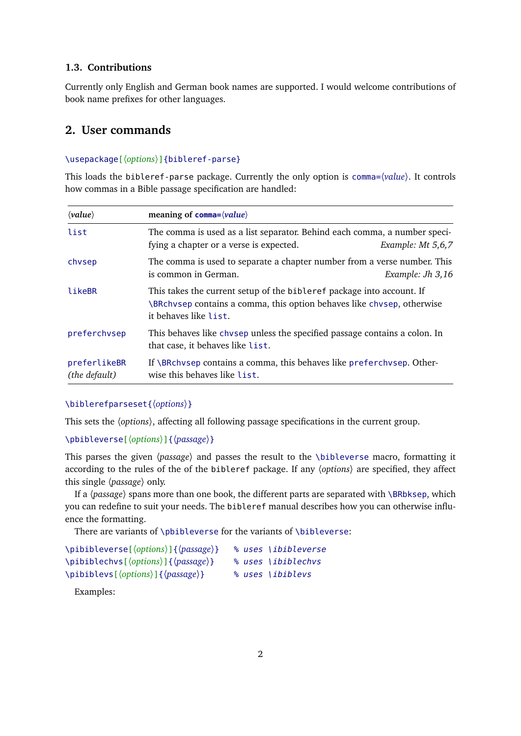#### **1.3. Contributions**

Currently only English and German book names are supported. I would welcome contributions of book name prefixes for other languages.

# **2. User commands**

#### \usepackage[〈*options*〉]{bibleref-parse}

This loads the bibleref-parse package. Currently the only option is comma=〈*value*〉. It controls how commas in a Bible passage specification are handled:

| $\langle value \rangle$       | meaning of comma= $\langle value \rangle$                                                                                                                                |                     |
|-------------------------------|--------------------------------------------------------------------------------------------------------------------------------------------------------------------------|---------------------|
| list                          | The comma is used as a list separator. Behind each comma, a number speci-<br>fying a chapter or a verse is expected.                                                     | Example: $Mt$ 5,6,7 |
| chvsep                        | The comma is used to separate a chapter number from a verse number. This<br>is common in German.                                                                         | Example: J $h$ 3,16 |
| likeBR                        | This takes the current setup of the bibleref package into account. If<br>\BRchvsep contains a comma, this option behaves like chvsep, otherwise<br>it behaves like list. |                     |
| preferchvsep                  | This behaves like chysep unless the specified passage contains a colon. In<br>that case, it behaves like list.                                                           |                     |
| preferlikeBR<br>(the default) | If \BRchvsep contains a comma, this behaves like preferchvsep. Other-<br>wise this behaves like list.                                                                    |                     |

#### \biblerefparseset{〈*options*〉}

This sets the 〈*options*〉, affecting all following passage specifications in the current group.

#### \pbibleverse[〈*options*〉]{〈*passage*〉}

This parses the given 〈*passage*〉 and passes the result to the \bibleverse macro, formatting it according to the rules of the of the bibleref package. If any 〈*options*〉 are specified, they affect this single 〈*passage*〉 only.

If a 〈*passage*〉 spans more than one book, the different parts are separated with \BRbksep, which you can redefine to suit your needs. The bibleref manual describes how you can otherwise influence the formatting.

There are variants of \pbibleverse for the variants of \bibleverse:

| \pibibleverse[\(options\)]{\passage\}                                        | % uses \ibibleverse |
|------------------------------------------------------------------------------|---------------------|
| \pibiblechvs[\\ \ctions\) ] {\passage\}                                      | % uses \ibiblechvs  |
| $\phi\$ \pibiblevs[ $\langle options \rangle$ ]{ $\langle passage \rangle$ } | % uses \ibiblevs    |

Examples: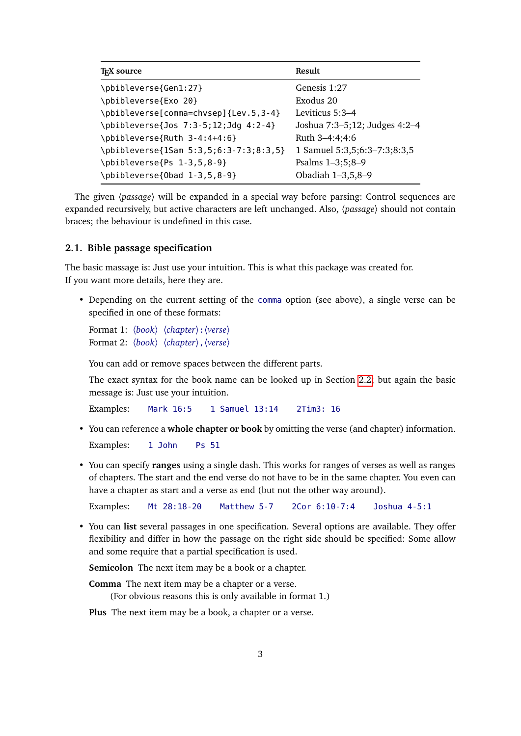| <b>T<sub>F</sub>X</b> source           | <b>Result</b>                 |
|----------------------------------------|-------------------------------|
| \pbibleverse{Gen1:27}                  | Genesis 1:27                  |
| \pbibleverse{Exo 20}                   | Exodus 20                     |
| \pbibleverse[comma=chvsep]{Lev.5,3-4}  | Leviticus 5:3-4               |
| \pbibleverse{Jos 7:3-5;12;Jdg 4:2-4}   | Joshua 7:3-5;12; Judges 4:2-4 |
| \pbibleverse{Ruth 3-4:4+4:6}           | Ruth 3-4:4:4:6                |
| \pbibleverse{1Sam 5:3,5;6:3-7:3;8:3,5} | 1 Samuel 5:3,5;6:3-7:3;8:3,5  |
| \pbibleverse{Ps 1-3,5,8-9}             | Psalms 1-3;5;8-9              |
| \pbibleverse{0bad 1-3,5,8-9}           | Obadiah 1-3,5,8-9             |

The given 〈*passage*〉 will be expanded in a special way before parsing: Control sequences are expanded recursively, but active characters are left unchanged. Also, 〈*passage*〉 should not contain braces; the behaviour is undefined in this case.

#### **2.1. Bible passage specification**

The basic massage is: Just use your intuition. This is what this package was created for. If you want more details, here they are.

• Depending on the current setting of the comma option (see above), a single verse can be specified in one of these formats:

Format 1: 〈*book*〉 〈*chapter*〉:〈*verse*〉 Format 2: 〈*book*〉 〈*chapter*〉,〈*verse*〉

You can add or remove spaces between the different parts.

The exact syntax for the book name can be looked up in Section [2.2;](#page-3-0) but again the basic message is: Just use your intuition.

Examples: Mark 16:5 1 Samuel 13:14 2Tim3: 16

• You can reference a **whole chapter or book** by omitting the verse (and chapter) information.

Examples: 1 John Ps 51

• You can specify **ranges** using a single dash. This works for ranges of verses as well as ranges of chapters. The start and the end verse do not have to be in the same chapter. You even can have a chapter as start and a verse as end (but not the other way around).

Examples: Mt 28:18-20 Matthew 5-7 2Cor 6:10-7:4 Joshua 4-5:1

• You can **list** several passages in one specification. Several options are available. They offer flexibility and differ in how the passage on the right side should be specified: Some allow and some require that a partial specification is used.

**Semicolon** The next item may be a book or a chapter.

**Comma** The next item may be a chapter or a verse. (For obvious reasons this is only available in format 1.)

**Plus** The next item may be a book, a chapter or a verse.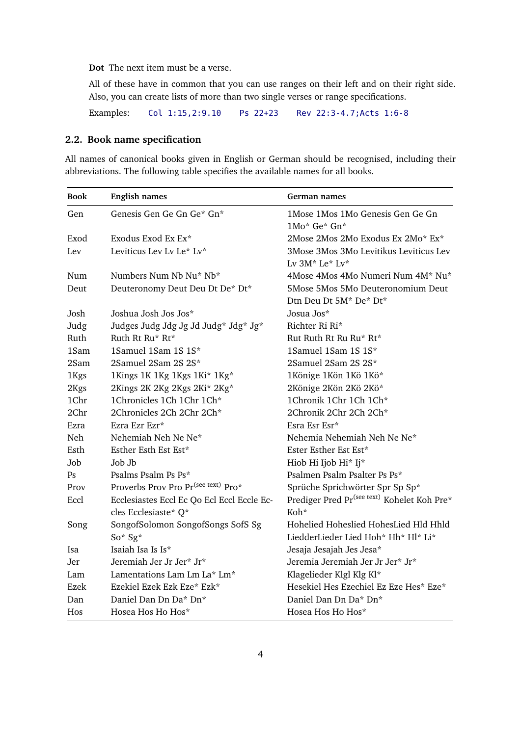**Dot** The next item must be a verse.

All of these have in common that you can use ranges on their left and on their right side. Also, you can create lists of more than two single verses or range specifications.

Examples: Col 1:15,2:9.10 Ps 22+23 Rev 22:3-4.7;Acts 1:6-8

### <span id="page-3-0"></span>**2.2. Book name specification**

All names of canonical books given in English or German should be recognised, including their abbreviations. The following table specifies the available names for all books.

| <b>Book</b> | <b>English names</b>                            | German names                                                |
|-------------|-------------------------------------------------|-------------------------------------------------------------|
| Gen         | Genesis Gen Ge Gn Ge* Gn*                       | 1Mose 1Mos 1Mo Genesis Gen Ge Gn<br>1Mo* Ge* Gn*            |
| Exod        | Exodus Exod Ex Ex*                              | 2Mose 2Mos 2Mo Exodus Ex 2Mo* Ex*                           |
| Lev         | Leviticus Lev Lv Le* Lv*                        | 3Mose 3Mos 3Mo Levitikus Leviticus Lev<br>Lv 3M* Le* Lv*    |
| Num         | Numbers Num Nb Nu* Nb*                          | 4Mose 4Mos 4Mo Numeri Num 4M* Nu*                           |
| Deut        | Deuteronomy Deut Deu Dt De* Dt*                 | 5Mose 5Mos 5Mo Deuteronomium Deut<br>Dtn Deu Dt 5M* De* Dt* |
| Josh        | Joshua Josh Jos Jos*                            | Josua Jos*                                                  |
| Judg        | Judges Judg Jdg Jg Jd Judg* Jdg* Jg*            | Richter Ri Ri*                                              |
| Ruth        | Ruth Rt Ru* Rt*                                 | Rut Ruth Rt Ru Ru* Rt*                                      |
| 1Sam        | 1Samuel 1Sam 1S 1S*                             | 1Samuel 1Sam 1S 1S*                                         |
| 2Sam        | 2Samuel 2Sam 2S 2S*                             | 2Samuel 2Sam 2S 2S*                                         |
| 1Kgs        | 1Kings 1K 1Kg 1Kgs 1Ki* 1Kg*                    | 1Könige 1Kön 1Kö 1Kö*                                       |
| 2Kgs        | 2Kings 2K 2Kg 2Kgs 2Ki* 2Kg*                    | 2Könige 2Kön 2Kö 2Kö*                                       |
| 1Chr        | 1Chronicles 1Ch 1Chr 1Ch*                       | 1Chronik 1Chr 1Ch 1Ch*                                      |
| 2Chr        | 2Chronicles 2Ch 2Chr 2Ch*                       | 2Chronik 2Chr 2Ch 2Ch*                                      |
| Ezra        | Ezra Ezr Ezr*                                   | Esra Esr Esr*                                               |
| Neh         | Nehemiah Neh Ne Ne*                             | Nehemia Nehemiah Neh Ne Ne*                                 |
| Esth        | Esther Esth Est Est*                            | Ester Esther Est Est*                                       |
| Job         | Job Jb.                                         | Hiob Hi Ijob Hi* Ij*                                        |
| Ps          | Psalms Psalm Ps Ps*                             | Psalmen Psalm Psalter Ps Ps*                                |
| Prov        | Proverbs Prov Pro Pr <sup>(see text)</sup> Pro* | Sprüche Sprichwörter Spr Sp Sp*                             |
| Eccl        | Ecclesiastes Eccl Ec Qo Ecl Eccl Eccle Ec-      | Prediger Pred Pr <sup>(see text)</sup> Kohelet Koh Pre*     |
|             | cles Ecclesiaste* Q*                            | Koh*                                                        |
| Song        | SongofSolomon SongofSongs SofS Sg               | Hohelied Hoheslied HohesLied Hld Hhld                       |
|             | $So* Sg*$                                       | LiedderLieder Lied Hoh* Hh* Hl* Li*                         |
| Isa         | Isaiah Isa Is Is*                               | Jesaja Jesajah Jes Jesa*                                    |
| Jer         | Jeremiah Jer Jr Jer* Jr*                        | Jeremia Jeremiah Jer Jr Jer* Jr*                            |
| Lam         | Lamentations Lam Lm La* Lm*                     | Klagelieder Klgl Klg Kl*                                    |
| Ezek        | Ezekiel Ezek Ezk Eze* Ezk*                      | Hesekiel Hes Ezechiel Ez Eze Hes* Eze*                      |
| Dan         | Daniel Dan Dn Da* Dn*                           | Daniel Dan Dn Da* Dn*                                       |
| Hos         | Hosea Hos Ho Hos*                               | Hosea Hos Ho Hos*                                           |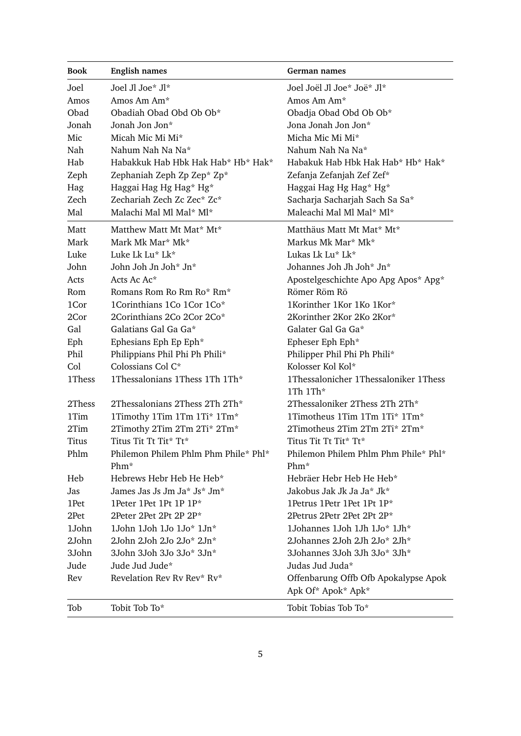| <b>Book</b> | <b>English names</b>                 | German names                                        |
|-------------|--------------------------------------|-----------------------------------------------------|
| Joel        | Joel Jl Joe* Jl*                     | Joel Joël Jl Joe* Joë* Jl*                          |
| Amos        | Amos Am Am*                          | Amos Am Am*                                         |
| Obad        | Obadiah Obad Obd Ob Ob*              | Obadja Obad Obd Ob Ob*                              |
| Jonah       | Jonah Jon Jon*                       | Jona Jonah Jon Jon*                                 |
| Mic         | Micah Mic Mi Mi*                     | Micha Mic Mi Mi*                                    |
| Nah         | Nahum Nah Na Na*                     | Nahum Nah Na Na*                                    |
| Hab         | Habakkuk Hab Hbk Hak Hab* Hb* Hak*   | Habakuk Hab Hbk Hak Hab* Hb* Hak*                   |
| Zeph        | Zephaniah Zeph Zp Zep* Zp*           | Zefanja Zefanjah Zef Zef*                           |
| Hag         | Haggai Hag Hg Hag* Hg*               | Haggai Hag Hg Hag* Hg*                              |
| Zech        | Zechariah Zech Zc Zec* Zc*           | Sacharja Sacharjah Sach Sa Sa*                      |
| Mal         | Malachi Mal Ml Mal* Ml*              | Maleachi Mal Ml Mal* Ml*                            |
| Matt        | Matthew Matt Mt Mat* Mt*             | Matthäus Matt Mt Mat* Mt*                           |
| Mark        | Mark Mk Mar* Mk*                     | Markus Mk Mar* Mk*                                  |
| Luke        | Luke Lk Lu* Lk*                      | Lukas Lk Lu* Lk*                                    |
| John        | John Joh Jn Joh* Jn*                 | Johannes Joh Jh Joh* Jn*                            |
| Acts        | Acts Ac Ac*                          | Apostelgeschichte Apo Apg Apos* Apg*                |
| Rom         | Romans Rom Ro Rm Ro* Rm*             | Römer Röm Rö                                        |
| 1Cor        | 1Corinthians 1Co 1Cor 1Co*           | 1Korinther 1Kor 1Ko 1Kor*                           |
| 2Cor        | 2Corinthians 2Co 2Cor 2Co*           | 2Korinther 2Kor 2Ko 2Kor*                           |
| Gal         | Galatians Gal Ga Ga*                 | Galater Gal Ga Ga*                                  |
| Eph         | Ephesians Eph Ep Eph*                | Epheser Eph Eph*                                    |
| Phil        | Philippians Phil Phi Ph Phili*       | Philipper Phil Phi Ph Phili*                        |
| Col         | Colossians Col C*                    | Kolosser Kol Kol*                                   |
| 1Thess      | 1Thessalonians 1Thess 1Th 1Th*       | 1Thessalonicher 1Thessaloniker 1Thess<br>1Th $1Th*$ |
| 2Thess      | 2Thessalonians 2Thess 2Th 2Th*       | 2Thessaloniker 2Thess 2Th 2Th*                      |
| 1Tim        | 1Timothy 1Tim 1Tm 1Ti* 1Tm*          | 1Timotheus 1Tim 1Tm 1Ti* 1Tm*                       |
| 2Tim        | 2Timothy 2Tim 2Tm 2Ti* 2Tm*          | 2Timotheus 2Tim 2Tm 2Ti* 2Tm*                       |
| Titus       | Titus Tit Tt Tit* Tt*                | Titus Tit Tt Tit* Tt*                               |
| Phlm        | Philemon Philem Phlm Phm Phile* Phl* | Philemon Philem Phlm Phm Phile* Phl*                |
|             | $Phm*$                               | $Phm*$                                              |
| Heb         | Hebrews Hebr Heb He Heb*             | Hebräer Hebr Heb He Heb*                            |
| Jas         | James Jas Js Jm Ja* Js* Jm*          | Jakobus Jak Jk Ja Ja* Jk*                           |
| 1Pet        | 1Peter 1Pet 1Pt 1P 1P*               | 1Petrus 1Petr 1Pet 1Pt 1P*                          |
| 2Pet        | 2Peter 2Pet 2Pt 2P 2P*               | 2Petrus 2Petr 2Pet 2Pt 2P*                          |
| 1John       | 1John 1Joh 1Jo 1Jo* 1Jn*             | 1Johannes 1Joh 1Jh 1Jo* 1Jh*                        |
| 2John       | 2John 2Joh 2Jo 2Jo* 2Jn*             | 2Johannes 2Joh 2Jh 2Jo* 2Jh*                        |
| 3John       | 3John 3Joh 3Jo 3Jo* 3Jn*             | 3Johannes 3Joh 3Jh 3Jo* 3Jh*                        |
| Jude        | Jude Jud Jude*                       | Judas Jud Juda*                                     |
| Rev         | Revelation Rev Rv Rev* Rv*           | Offenbarung Offb Ofb Apokalypse Apok                |
|             |                                      | Apk Of* Apok* Apk*                                  |
| Tob         | Tobit Tob To*                        | Tobit Tobias Tob To*                                |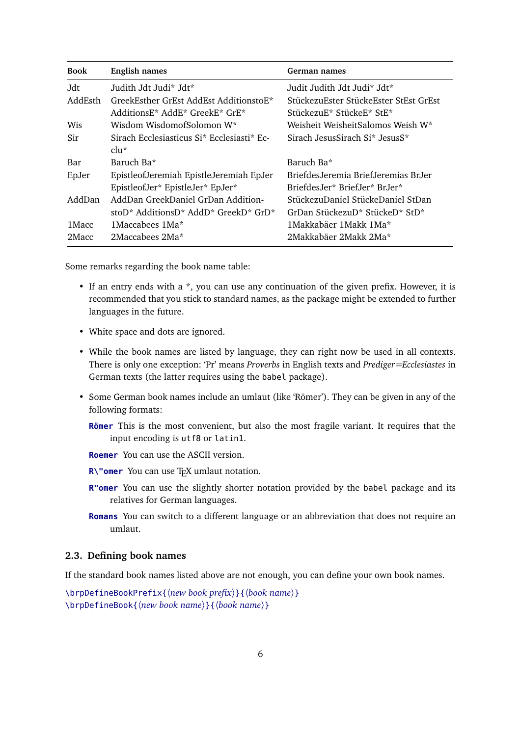| <b>Book</b> | English names                              | German names                           |
|-------------|--------------------------------------------|----------------------------------------|
| .Jdt        | Judith Jdt Judi* Jdt*                      | Judit Judith Jdt Judi* Jdt*            |
| AddEsth     | GreekEsther GrEst AddEst AdditionstoE*     | StückezuEster StückeEster StEst GrEst  |
|             | AdditionsE* AddE* GreekE* GrE*             | StückezuE* StückeE* StE*               |
| <b>Wis</b>  | Wisdom WisdomofSolomon W*                  | Weisheit WeisheitSalomos Weish W*      |
| Sir         | Sirach Ecclesiasticus Si* Ecclesiasti* Ec- | Sirach JesusSirach Si* JesusS*         |
|             | $clu^*$                                    |                                        |
| Bar         | Baruch Ba*                                 | Baruch Ba*                             |
| EpJer       | EpistleofJeremiah EpistleJeremiah EpJer    | Briefdes Jeremia Brief Jeremias Br.Jer |
|             | EpistleofJer* EpistleJer* EpJer*           | BriefdesJer* BriefJer* BrJer*          |
| AddDan      | AddDan GreekDaniel GrDan Addition-         | StückezuDaniel StückeDaniel StDan      |
|             | stoD* AdditionsD* AddD* GreekD* GrD*       | GrDan StückezuD* StückeD* StD*         |
| 1 Macc      | 1Maccabees 1Ma*                            | 1Makkabäer 1Makk 1Ma*                  |
| 2Macc       | 2Maccabees 2Ma*                            | 2Makkabäer 2Makk 2Ma*                  |

Some remarks regarding the book name table:

- If an entry ends with a \*, you can use any continuation of the given prefix. However, it is recommended that you stick to standard names, as the package might be extended to further languages in the future.
- White space and dots are ignored.
- While the book names are listed by language, they can right now be used in all contexts. There is only one exception: 'Pr' means *Proverbs* in English texts and *Prediger=Ecclesiastes* in German texts (the latter requires using the babel package).
- Some German book names include an umlaut (like 'Römer'). They can be given in any of the following formats:
	- **Römer** This is the most convenient, but also the most fragile variant. It requires that the input encoding is utf8 or latin1.
	- **Roemer** You can use the ASCII version.
	- **R\"omer** You can use T<sub>E</sub>X umlaut notation.
	- **R"omer** You can use the slightly shorter notation provided by the babel package and its relatives for German languages.
	- **Romans** You can switch to a different language or an abbreviation that does not require an umlaut.

#### **2.3. Defining book names**

If the standard book names listed above are not enough, you can define your own book names.

\brpDefineBookPrefix{〈*new book prefix*〉}{〈*book name*〉} \brpDefineBook{〈*new book name*〉}{〈*book name*〉}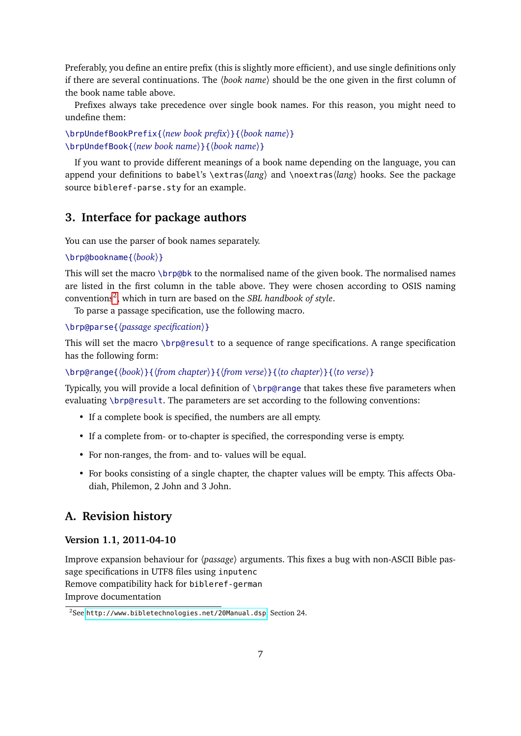Preferably, you define an entire prefix (this is slightly more efficient), and use single definitions only if there are several continuations. The 〈*book name*〉 should be the one given in the first column of the book name table above.

Prefixes always take precedence over single book names. For this reason, you might need to undefine them:

\brpUndefBookPrefix{〈*new book prefix*〉}{〈*book name*〉} \brpUndefBook{〈*new book name*〉}{〈*book name*〉}

If you want to provide different meanings of a book name depending on the language, you can append your definitions to babel's \extras〈*lang*〉 and \noextras〈*lang*〉 hooks. See the package source bibleref-parse.sty for an example.

# **3. Interface for package authors**

You can use the parser of book names separately.

```
\brp@bookname{〈book〉}
```
This will set the macro \brp@bk to the normalised name of the given book. The normalised names are listed in the first column in the table above. They were chosen according to OSIS naming conventions[2](#page-6-0) , which in turn are based on the *SBL handbook of style*.

To parse a passage specification, use the following macro.

```
\brp@parse{〈passage specification〉}
```
This will set the macro \brp@result to a sequence of range specifications. A range specification has the following form:

\brp@range{〈*book*〉}{〈*from chapter*〉}{〈*from verse*〉}{〈*to chapter*〉}{〈*to verse*〉}

Typically, you will provide a local definition of \brp@range that takes these five parameters when evaluating \brp@result. The parameters are set according to the following conventions:

- If a complete book is specified, the numbers are all empty.
- If a complete from- or to-chapter is specified, the corresponding verse is empty.
- For non-ranges, the from- and to- values will be equal.
- For books consisting of a single chapter, the chapter values will be empty. This affects Obadiah, Philemon, 2 John and 3 John.

### **A. Revision history**

#### **Version 1.1, 2011-04-10**

Improve expansion behaviour for 〈*passage*〉 arguments. This fixes a bug with non-ASCII Bible passage specifications in UTF8 files using inputenc Remove compatibility hack for bibleref-german Improve documentation

<span id="page-6-0"></span><sup>2</sup>See <http://www.bibletechnologies.net/20Manual.dsp>, Section 24.